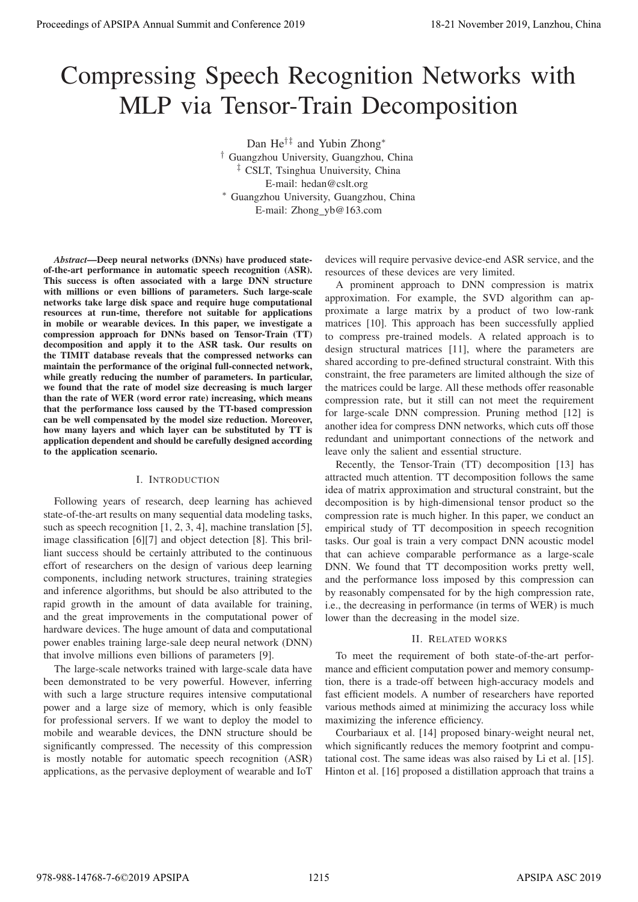# Compressing Speech Recognition Networks with MLP via Tensor-Train Decomposition

Dan He†‡ and Yubin Zhong∗ † Guangzhou University, Guangzhou, China ‡ CSLT, Tsinghua Unuiversity, China E-mail: hedan@cslt.org ∗ Guangzhou University, Guangzhou, China E-mail: Zhong yb@163.com

*Abstract*—Deep neural networks (DNNs) have produced stateof-the-art performance in automatic speech recognition (ASR). This success is often associated with a large DNN structure with millions or even billions of parameters. Such large-scale networks take large disk space and require huge computational resources at run-time, therefore not suitable for applications in mobile or wearable devices. In this paper, we investigate a compression approach for DNNs based on Tensor-Train (TT) decomposition and apply it to the ASR task. Our results on the TIMIT database reveals that the compressed networks can maintain the performance of the original full-connected network, while greatly reducing the number of parameters. In particular, we found that the rate of model size decreasing is much larger than the rate of WER (word error rate) increasing, which means that the performance loss caused by the TT-based compression can be well compensated by the model size reduction. Moreover, how many layers and which layer can be substituted by TT is application dependent and should be carefully designed according to the application scenario. Proceeding of APSIPA Annual Summit at Co-Co-Co-2019 18-21 November 2019 18-21 November 2019 2012 November 2019 2012 November 2019 2012 November 2019 2013 2013 2013 2013 2013 2014 2013 2013 2014 2013 2014 2013 2014 2013 20

# I. INTRODUCTION

Following years of research, deep learning has achieved state-of-the-art results on many sequential data modeling tasks, such as speech recognition [1, 2, 3, 4], machine translation [5], image classification [6][7] and object detection [8]. This brilliant success should be certainly attributed to the continuous effort of researchers on the design of various deep learning components, including network structures, training strategies and inference algorithms, but should be also attributed to the rapid growth in the amount of data available for training, and the great improvements in the computational power of hardware devices. The huge amount of data and computational power enables training large-sale deep neural network (DNN) that involve millions even billions of parameters [9].

The large-scale networks trained with large-scale data have been demonstrated to be very powerful. However, inferring with such a large structure requires intensive computational power and a large size of memory, which is only feasible for professional servers. If we want to deploy the model to mobile and wearable devices, the DNN structure should be significantly compressed. The necessity of this compression is mostly notable for automatic speech recognition (ASR) applications, as the pervasive deployment of wearable and IoT

devices will require pervasive device-end ASR service, and the resources of these devices are very limited.

A prominent approach to DNN compression is matrix approximation. For example, the SVD algorithm can approximate a large matrix by a product of two low-rank matrices [10]. This approach has been successfully applied to compress pre-trained models. A related approach is to design structural matrices [11], where the parameters are shared according to pre-defined structural constraint. With this constraint, the free parameters are limited although the size of the matrices could be large. All these methods offer reasonable compression rate, but it still can not meet the requirement for large-scale DNN compression. Pruning method [12] is another idea for compress DNN networks, which cuts off those redundant and unimportant connections of the network and leave only the salient and essential structure.

Recently, the Tensor-Train (TT) decomposition [13] has attracted much attention. TT decomposition follows the same idea of matrix approximation and structural constraint, but the decomposition is by high-dimensional tensor product so the compression rate is much higher. In this paper, we conduct an empirical study of TT decomposition in speech recognition tasks. Our goal is train a very compact DNN acoustic model that can achieve comparable performance as a large-scale DNN. We found that TT decomposition works pretty well, and the performance loss imposed by this compression can by reasonably compensated for by the high compression rate, i.e., the decreasing in performance (in terms of WER) is much lower than the decreasing in the model size.

# II. RELATED WORKS

To meet the requirement of both state-of-the-art performance and efficient computation power and memory consumption, there is a trade-off between high-accuracy models and fast efficient models. A number of researchers have reported various methods aimed at minimizing the accuracy loss while maximizing the inference efficiency.

Courbariaux et al. [14] proposed binary-weight neural net, which significantly reduces the memory footprint and computational cost. The same ideas was also raised by Li et al. [15]. Hinton et al. [16] proposed a distillation approach that trains a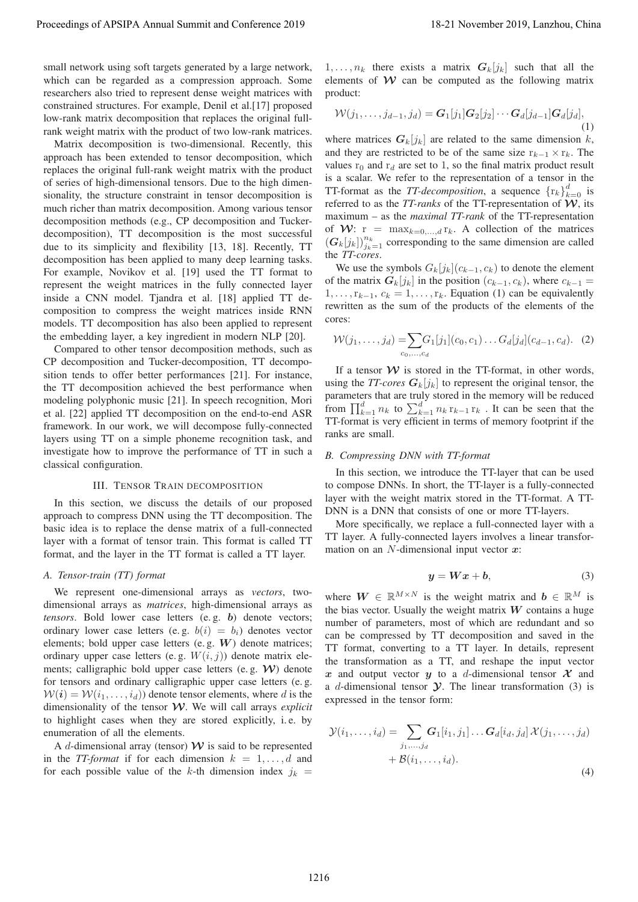small network using soft targets generated by a large network, which can be regarded as a compression approach. Some researchers also tried to represent dense weight matrices with constrained structures. For example, Denil et al.[17] proposed low-rank matrix decomposition that replaces the original fullrank weight matrix with the product of two low-rank matrices.

Matrix decomposition is two-dimensional. Recently, this approach has been extended to tensor decomposition, which replaces the original full-rank weight matrix with the product of series of high-dimensional tensors. Due to the high dimensionality, the structure constraint in tensor decomposition is much richer than matrix decomposition. Among various tensor decomposition methods (e.g., CP decomposition and Tuckerdecomposition), TT decomposition is the most successful due to its simplicity and flexibility [13, 18]. Recently, TT decomposition has been applied to many deep learning tasks. For example, Novikov et al. [19] used the TT format to represent the weight matrices in the fully connected layer inside a CNN model. Tjandra et al. [18] applied TT decomposition to compress the weight matrices inside RNN models. TT decomposition has also been applied to represent the embedding layer, a key ingredient in modern NLP [20]. Proceeding of APSIPA Annual Summit at the Green 2019<br>
we have not the conference 2019 in the Green 2019 in the Green 2019 in the Green 2019 in the Green 2019 in the Green 2019 in the Green 2019 in the Green 2019 in the Gr

Compared to other tensor decomposition methods, such as CP decomposition and Tucker-decomposition, TT decomposition tends to offer better performances [21]. For instance, the TT decomposition achieved the best performance when modeling polyphonic music [21]. In speech recognition, Mori et al. [22] applied TT decomposition on the end-to-end ASR framework. In our work, we will decompose fully-connected layers using TT on a simple phoneme recognition task, and investigate how to improve the performance of TT in such a classical configuration.

#### III. TENSOR TRAIN DECOMPOSITION

In this section, we discuss the details of our proposed approach to compress DNN using the TT decomposition. The basic idea is to replace the dense matrix of a full-connected layer with a format of tensor train. This format is called TT format, and the layer in the TT format is called a TT layer.

#### *A. Tensor-train (TT) format*

We represent one-dimensional arrays as *vectors*, twodimensional arrays as *matrices*, high-dimensional arrays as *tensors*. Bold lower case letters (e. g. *b*) denote vectors; ordinary lower case letters (e.g.  $b(i) = b_i$ ) denotes vector elements; bold upper case letters (e. g. *W*) denote matrices; ordinary upper case letters (e.g.  $W(i, j)$ ) denote matrix elements; calligraphic bold upper case letters (e. g. *W*) denote for tensors and ordinary calligraphic upper case letters (e. g.  $W(i) = W(i_1, \ldots, i_d)$  denote tensor elements, where d is the dimensionality of the tensor *W*. We will call arrays *explicit* to highlight cases when they are stored explicitly, i. e. by enumeration of all the elements.

A d-dimensional array (tensor)  $W$  is said to be represented in the *TT-format* if for each dimension  $k = 1, \ldots, d$  and for each possible value of the k-th dimension index  $j_k$  =

 $1, \ldots, n_k$  there exists a matrix  $G_k[j_k]$  such that all the elements of  $W$  can be computed as the following matrix product:

$$
\mathcal{W}(j_1,\ldots,j_{d-1},j_d) = \mathbf{G}_1[j_1]\mathbf{G}_2[j_2]\cdots\mathbf{G}_d[j_{d-1}]\mathbf{G}_d[j_d],
$$
\n(1)

where matrices  $G_k[j_k]$  are related to the same dimension k, and they are restricted to be of the same size  $r_{k-1} \times r_k$ . The values  $r_0$  and  $r_d$  are set to 1, so the final matrix product result is a scalar. We refer to the representation of a tensor in the TT-format as the *TT-decomposition*, a sequence  $\{r_k\}_{k=0}^d$  is<br>referred to as the *TT-ranks* of the TT-representation of **W** its referred to as the *TT-ranks* of the TT-representation of *W*, its maximum – as the *maximal TT-rank* of the TT-representation of  $W: r = \max_{k=0,\dots,d} r_k$ . A collection of the matrices  $(G_k[j_k])_{j_k=1}^{n_k}$  corresponding to the same dimension are called<br>the *TL*-cores the *TT-cores*.

We use the symbols  $G_k[j_k](c_{k-1}, c_k)$  to denote the element of the matrix  $G_k[j_k]$  in the position  $(c_{k-1}, c_k)$ , where  $c_{k-1} =$  $1, \ldots, r_{k-1}, c_k = 1, \ldots, r_k$ . Equation (1) can be equivalently rewritten as the sum of the products of the elements of the cores:

$$
\mathcal{W}(j_1,\ldots,j_d) = \sum_{c_0,\ldots,c_d} G_1[j_1](c_0,c_1)\ldots G_d[j_d](c_{d-1},c_d). \tag{2}
$$

If a tensor  $W$  is stored in the TT-format, in other words, using the *TT-cores*  $G_k[j_k]$  to represent the original tensor, the parameters that are truly stored in the memory will be reduced from  $\prod_{k=1}^{d} n_k$  to  $\sum_{k=1}^{d} n_k$  r<sub>k</sub>-1 r<sub>k</sub>. It can be seen that the TT-format is very efficient in terms of memory footprint if the ranks are small.

#### *B. Compressing DNN with TT-format*

In this section, we introduce the TT-layer that can be used to compose DNNs. In short, the TT-layer is a fully-connected layer with the weight matrix stored in the TT-format. A TT-DNN is a DNN that consists of one or more TT-layers.

More specifically, we replace a full-connected layer with a TT layer. A fully-connected layers involves a linear transformation on an N-dimensional input vector *<sup>x</sup>*:

$$
y = Wx + b,\t\t(3)
$$

where  $W \in \mathbb{R}^{M \times N}$  is the weight matrix and  $b \in \mathbb{R}^{M}$  is the bias vector. Usually the weight matrix *W* contains a huge number of parameters, most of which are redundant and so can be compressed by TT decomposition and saved in the TT format, converting to a TT layer. In details, represent the transformation as a TT, and reshape the input vector x and output vector y to a d-dimensional tensor  $\mathcal{X}$  and <sup>a</sup> d-dimensional tensor *<sup>Y</sup>*. The linear transformation (3) is expressed in the tensor form:

$$
\mathcal{Y}(i_1,\ldots,i_d) = \sum_{j_1,\ldots,j_d} G_1[i_1,j_1]\ldots G_d[i_d,j_d] \mathcal{X}(j_1,\ldots,j_d) \n+ \mathcal{B}(i_1,\ldots,i_d).
$$
\n(4)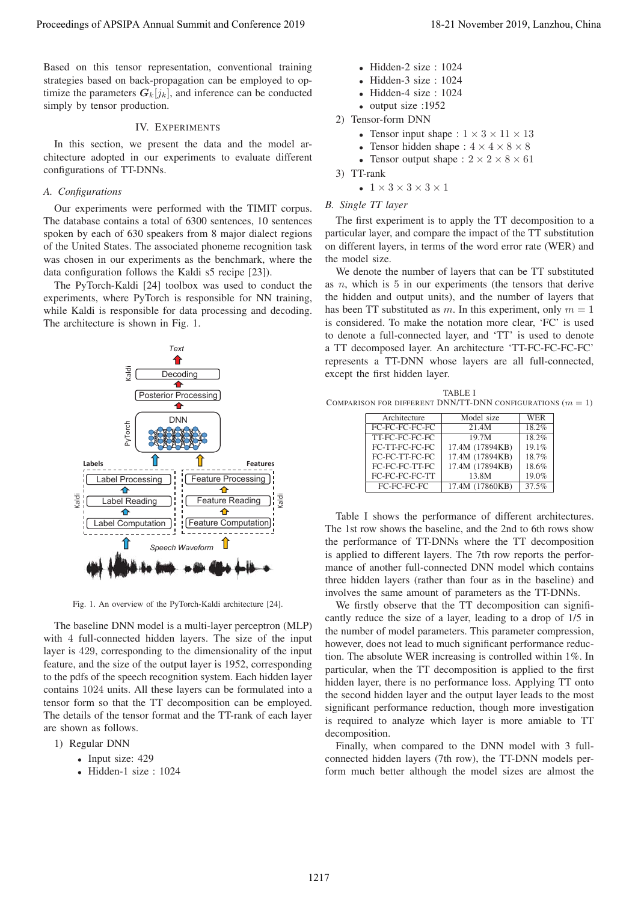Based on this tensor representation, conventional training strategies based on back-propagation can be employed to optimize the parameters  $G_k[j_k]$ , and inference can be conducted simply by tensor production.

### IV. EXPERIMENTS

In this section, we present the data and the model architecture adopted in our experiments to evaluate different configurations of TT-DNNs.

## *A. Configurations*

Our experiments were performed with the TIMIT corpus. The database contains a total of 6300 sentences, 10 sentences spoken by each of 630 speakers from 8 major dialect regions of the United States. The associated phoneme recognition task was chosen in our experiments as the benchmark, where the data configuration follows the Kaldi s5 recipe [23]).

The PyTorch-Kaldi [24] toolbox was used to conduct the experiments, where PyTorch is responsible for NN training, while Kaldi is responsible for data processing and decoding. The architecture is shown in Fig. 1.



Fig. 1. An overview of the PyTorch-Kaldi architecture [24].

The baseline DNN model is a multi-layer perceptron (MLP) with 4 full-connected hidden layers. The size of the input layer is 429, corresponding to the dimensionality of the input feature, and the size of the output layer is 1952, corresponding to the pdfs of the speech recognition system. Each hidden layer contains 1024 units. All these layers can be formulated into a tensor form so that the TT decomposition can be employed. The details of the tensor format and the TT-rank of each layer are shown as follows.

- 1) Regular DNN
	- Input size: 429
	- Hidden-1 size : 1024
- Hidden-2 size :  $1024$
- Hidden-3 size : 1024
- Hidden-4 size : 1024
- output size :1952
- 2) Tensor-form DNN
	- Tensor input shape :  $1 \times 3 \times 11 \times 13$
	- Tensor hidden shape :  $4 \times 4 \times 8 \times 8$
	- Tensor output shape :  $2 \times 2 \times 8 \times 61$
- 3) TT-rank
	- $1 \times 3 \times 3 \times 3 \times 1$

# *B. Single TT layer*

The first experiment is to apply the TT decomposition to a particular layer, and compare the impact of the TT substitution on different layers, in terms of the word error rate (WER) and the model size.

We denote the number of layers that can be TT substituted as  $n$ , which is  $5$  in our experiments (the tensors that derive the hidden and output units), and the number of layers that has been TT substituted as m. In this experiment, only  $m = 1$ is considered. To make the notation more clear, 'FC' is used to denote a full-connected layer, and 'TT' is used to denote a TT decomposed layer. An architecture 'TT-FC-FC-FC-FC' represents a TT-DNN whose layers are all full-connected, except the first hidden layer.

TABLE I COMPARISON FOR DIFFERENT DNN/TT-DNN CONFIGURATIONS  $(m = 1)$ 

| Architecture   | Model size      | <b>WER</b> |
|----------------|-----------------|------------|
| FC-FC-FC-FC-FC | 21.4M           | 18.2%      |
| TT-FC-FC-FC-FC | 19.7M           | 18.2%      |
| FC-TT-FC-FC-FC | 17.4M (17894KB) | 19.1%      |
| FC-FC-TT-FC-FC | 17.4M (17894KB) | 18.7%      |
| FC-FC-FC-TT-FC | 17.4M (17894KB) | 18.6%      |
| FC-FC-FC-FC-TT | 13.8M           | 19.0%      |
| FC-FC-FC-FC    | 17.4M (17860KB) | 37.5%      |

Table I shows the performance of different architectures. The 1st row shows the baseline, and the 2nd to 6th rows show the performance of TT-DNNs where the TT decomposition is applied to different layers. The 7th row reports the performance of another full-connected DNN model which contains three hidden layers (rather than four as in the baseline) and involves the same amount of parameters as the TT-DNNs.

We firstly observe that the TT decomposition can significantly reduce the size of a layer, leading to a drop of 1/5 in the number of model parameters. This parameter compression, however, does not lead to much significant performance reduction. The absolute WER increasing is controlled within 1%. In particular, when the TT decomposition is applied to the first hidden layer, there is no performance loss. Applying TT onto the second hidden layer and the output layer leads to the most significant performance reduction, though more investigation is required to analyze which layer is more amiable to TT decomposition.

Finally, when compared to the DNN model with 3 fullconnected hidden layers (7th row), the TT-DNN models perform much better although the model sizes are almost the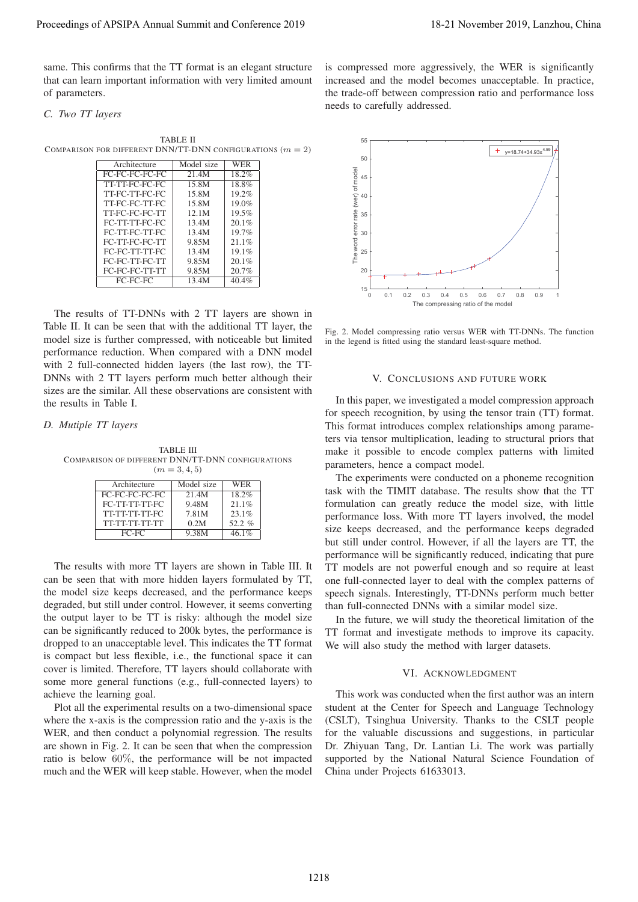same. This confirms that the TT format is an elegant structure that can learn important information with very limited amount of parameters.

# *C. Two TT layers*

TABLE II COMPARISON FOR DIFFERENT DNN/TT-DNN CONFIGURATIONS  $(m = 2)$ 

| Architecture   | Model size | <b>WER</b> |
|----------------|------------|------------|
| FC-FC-FC-FC-FC | 21.4M      | 18.2%      |
| TT-TT-FC-FC-FC | 15.8M      | 18.8%      |
| TT-FC-TT-FC-FC | 15.8M      | 19.2%      |
| TT-FC-FC-TT-FC | 15.8M      | 19.0%      |
| TT-FC-FC-FC-TT | 12.1M      | 19.5%      |
| FC-TT-TT-FC-FC | 13.4M      | 20.1%      |
| FC-TT-FC-TT-FC | 13.4M      | 19.7%      |
| FC-TT-FC-FC-TT | 9.85M      | 21.1%      |
| FC-FC-TT-TT-FC | 13.4M      | 19.1%      |
| FC-FC-TT-FC-TT | 9.85M      | 20.1%      |
| FC-FC-FC-TT-TT | 9.85M      | 20.7%      |
| FC-FC-FC       | 13.4M      | 40.4%      |

The results of TT-DNNs with 2 TT layers are shown in Table II. It can be seen that with the additional TT layer, the model size is further compressed, with noticeable but limited performance reduction. When compared with a DNN model with 2 full-connected hidden layers (the last row), the TT-DNNs with 2 TT layers perform much better although their sizes are the similar. All these observations are consistent with the results in Table I.

### *D. Mutiple TT layers*

TABLE III COMPARISON OF DIFFERENT DNN/TT-DNN CONFIGURATIONS  $(m = 3, 4, 5)$ 

| Architecture   | Model size | WER      |
|----------------|------------|----------|
| FC-FC-FC-FC-FC | 21.4M      | 18.2%    |
| FC-TT-TT-TT-FC | 9.48M      | 21.1%    |
| TT-TT-TT-TT-FC | 7.81M      | 23.1%    |
| TT-TT-TT-TT-TT | 0.2M       | 52.2 $%$ |
| $FC-FC$        | 9.38M      | 46.1%    |

The results with more TT layers are shown in Table III. It can be seen that with more hidden layers formulated by TT, the model size keeps decreased, and the performance keeps degraded, but still under control. However, it seems converting the output layer to be TT is risky: although the model size can be significantly reduced to 200k bytes, the performance is dropped to an unacceptable level. This indicates the TT format is compact but less flexible, i.e., the functional space it can cover is limited. Therefore, TT layers should collaborate with some more general functions (e.g., full-connected layers) to achieve the learning goal.

Plot all the experimental results on a two-dimensional space where the x-axis is the compression ratio and the y-axis is the WER, and then conduct a polynomial regression. The results are shown in Fig. 2. It can be seen that when the compression ratio is below 60%, the performance will be not impacted much and the WER will keep stable. However, when the model

is compressed more aggressively, the WER is significantly increased and the model becomes unacceptable. In practice, the trade-off between compression ratio and performance loss needs to carefully addressed.



Fig. 2. Model compressing ratio versus WER with TT-DNNs. The function in the legend is fitted using the standard least-square method.

### V. CONCLUSIONS AND FUTURE WORK

In this paper, we investigated a model compression approach for speech recognition, by using the tensor train (TT) format. This format introduces complex relationships among parameters via tensor multiplication, leading to structural priors that make it possible to encode complex patterns with limited parameters, hence a compact model.

The experiments were conducted on a phoneme recognition task with the TIMIT database. The results show that the TT formulation can greatly reduce the model size, with little performance loss. With more TT layers involved, the model size keeps decreased, and the performance keeps degraded but still under control. However, if all the layers are TT, the performance will be significantly reduced, indicating that pure TT models are not powerful enough and so require at least one full-connected layer to deal with the complex patterns of speech signals. Interestingly, TT-DNNs perform much better than full-connected DNNs with a similar model size.

In the future, we will study the theoretical limitation of the TT format and investigate methods to improve its capacity. We will also study the method with larger datasets.

## VI. ACKNOWLEDGMENT

This work was conducted when the first author was an intern student at the Center for Speech and Language Technology (CSLT), Tsinghua University. Thanks to the CSLT people for the valuable discussions and suggestions, in particular Dr. Zhiyuan Tang, Dr. Lantian Li. The work was partially supported by the National Natural Science Foundation of China under Projects 61633013.